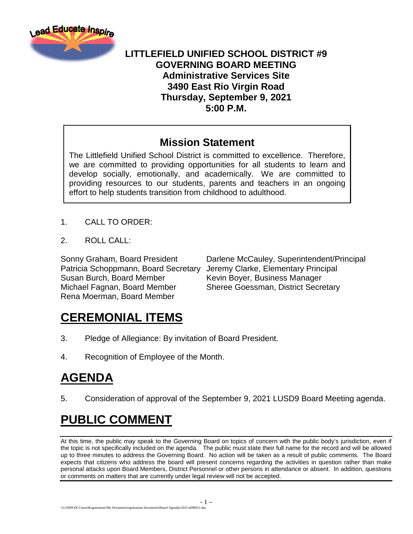

### **LITTLEFIELD UNIFIED SCHOOL DISTRICT #9 GOVERNING BOARD MEETING Administrative Services Site 3490 East Rio Virgin Road Thursday, September 9, 2021 5:00 P.M.**

### **Mission Statement**

The Littlefield Unified School District is committed to excellence. Therefore, we are committed to providing opportunities for all students to learn and develop socially, emotionally, and academically. We are committed to providing resources to our students, parents and teachers in an ongoing effort to help students transition from childhood to adulthood.

- 1. CALL TO ORDER:
- 2. ROLL CALL:

Patricia Schoppmann, Board Secretary Jeremy Clarke, Elementary Principal Susan Burch, Board Member Kevin Boyer, Business Manager Michael Fagnan, Board Member Sheree Goessman, District Secretary Rena Moerman, Board Member

Sonny Graham, Board President Darlene McCauley, Superintendent/Principal

## **CEREMONIAL ITEMS**

- 3. Pledge of Allegiance: By invitation of Board President.
- 4. Recognition of Employee of the Month.

# **AGENDA**

5. Consideration of approval of the September 9, 2021 LUSD9 Board Meeting agenda.

# **PUBLIC COMMENT**

At this time, the public may speak to the Governing Board on topics of concern with the public body's jurisdiction, even if the topic is not specifically included on the agenda. The public must state their full name for the record and will be allowed up to three minutes to address the Governing Board. No action will be taken as a result of public comments. The Board expects that citizens who address the board will present concerns regarding the activities in question rather than make personal attacks upon Board Members, District Personnel or other persons in attendance or absent. In addition, questions or comments on matters that are currently under legal review will not be accepted.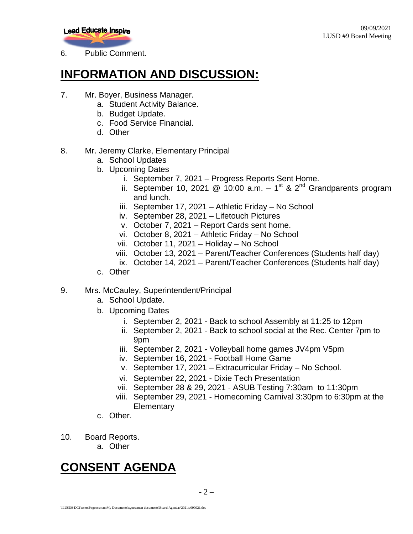

6. Public Comment.

### **INFORMATION AND DISCUSSION:**

- 7. Mr. Boyer, Business Manager.
	- a. Student Activity Balance.
	- b. Budget Update.
	- c. Food Service Financial.
	- d. Other
- 8. Mr. Jeremy Clarke, Elementary Principal
	- a. School Updates
	- b. Upcoming Dates
		- i. September 7, 2021 Progress Reports Sent Home.
		- ii. September 10, 2021 @ 10:00 a.m.  $-1^{st}$  & 2<sup>nd</sup> Grandparents program and lunch.
		- iii. September 17, 2021 Athletic Friday No School
		- iv. September 28, 2021 Lifetouch Pictures
		- v. October 7, 2021 Report Cards sent home.
		- vi. October 8, 2021 Athletic Friday No School
		- vii. October 11, 2021 Holiday No School
		- viii. October 13, 2021 Parent/Teacher Conferences (Students half day)
		- ix. October 14, 2021 Parent/Teacher Conferences (Students half day)
	- c. Other

#### 9. Mrs. McCauley, Superintendent/Principal

- a. School Update.
- b. Upcoming Dates
	- i. September 2, 2021 Back to school Assembly at 11:25 to 12pm
	- ii. September 2, 2021 Back to school social at the Rec. Center 7pm to 9pm
	- iii. September 2, 2021 Volleyball home games JV4pm V5pm
	- iv. September 16, 2021 Football Home Game
	- v. September 17, 2021 Extracurricular Friday No School.
	- vi. September 22, 2021 Dixie Tech Presentation
	- vii. September 28 & 29, 2021 ASUB Testing 7:30am to 11:30pm
	- viii. September 29, 2021 Homecoming Carnival 3:30pm to 6:30pm at the **Elementary**
- c. Other.
- 10. Board Reports.
	- a. Other

## **CONSENT AGENDA**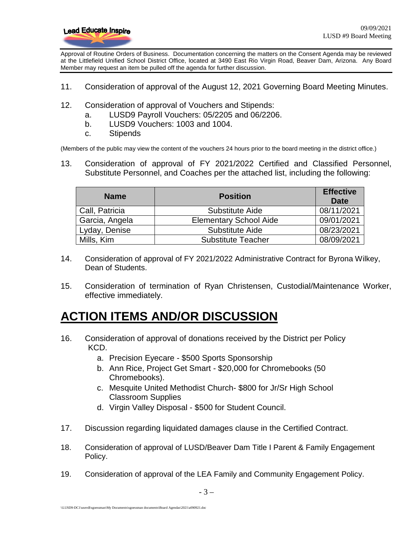

Approval of Routine Orders of Business. Documentation concerning the matters on the Consent Agenda may be reviewed at the Littlefield Unified School District Office, located at 3490 East Rio Virgin Road, Beaver Dam, Arizona. Any Board Member may request an item be pulled off the agenda for further discussion.

- 11. Consideration of approval of the August 12, 2021 Governing Board Meeting Minutes.
- 12. Consideration of approval of Vouchers and Stipends:
	- a. LUSD9 Payroll Vouchers: 05/2205 and 06/2206.
	- b. LUSD9 Vouchers: 1003 and 1004.
	- c. Stipends

(Members of the public may view the content of the vouchers 24 hours prior to the board meeting in the district office.)

13. Consideration of approval of FY 2021/2022 Certified and Classified Personnel, Substitute Personnel, and Coaches per the attached list, including the following:

| <b>Name</b>    | <b>Position</b>               | <b>Effective</b><br>Date |
|----------------|-------------------------------|--------------------------|
| Call, Patricia | Substitute Aide               | 08/11/2021               |
| Garcia, Angela | <b>Elementary School Aide</b> | 09/01/2021               |
| Lyday, Denise  | <b>Substitute Aide</b>        | 08/23/2021               |
| Mills, Kim     | <b>Substitute Teacher</b>     | 08/09/2021               |

- 14. Consideration of approval of FY 2021/2022 Administrative Contract for Byrona Wilkey, Dean of Students.
- 15. Consideration of termination of Ryan Christensen, Custodial/Maintenance Worker, effective immediately.

### **ACTION ITEMS AND/OR DISCUSSION**

- 16. Consideration of approval of donations received by the District per Policy KCD.
	- a. Precision Eyecare \$500 Sports Sponsorship
	- b. Ann Rice, Project Get Smart \$20,000 for Chromebooks (50 Chromebooks).
	- c. Mesquite United Methodist Church- \$800 for Jr/Sr High School Classroom Supplies
	- d. Virgin Valley Disposal \$500 for Student Council.
- 17. Discussion regarding liquidated damages clause in the Certified Contract.
- 18. Consideration of approval of LUSD/Beaver Dam Title I Parent & Family Engagement Policy.
- 19. Consideration of approval of the LEA Family and Community Engagement Policy.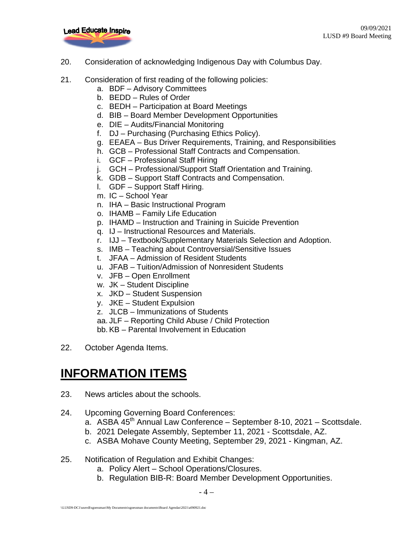

- 20. Consideration of acknowledging Indigenous Day with Columbus Day.
- 21. Consideration of first reading of the following policies:
	- a. BDF Advisory Committees
	- b. BEDD Rules of Order
	- c. BEDH Participation at Board Meetings
	- d. BIB Board Member Development Opportunities
	- e. DIE Audits/Financial Monitoring
	- f. DJ Purchasing (Purchasing Ethics Policy).
	- g. EEAEA Bus Driver Requirements, Training, and Responsibilities
	- h. GCB Professional Staff Contracts and Compensation.
	- i. GCF Professional Staff Hiring
	- j. GCH Professional/Support Staff Orientation and Training.
	- k. GDB Support Staff Contracts and Compensation.
	- l. GDF Support Staff Hiring.
	- m. IC School Year
	- n. IHA Basic Instructional Program
	- o. IHAMB Family Life Education
	- p. IHAMD Instruction and Training in Suicide Prevention
	- q. IJ Instructional Resources and Materials.
	- r. IJJ Textbook/Supplementary Materials Selection and Adoption.
	- s. IMB Teaching about Controversial/Sensitive Issues
	- t. JFAA Admission of Resident Students
	- u. JFAB Tuition/Admission of Nonresident Students
	- v. JFB Open Enrollment
	- w. JK Student Discipline
	- x. JKD Student Suspension
	- y. JKE Student Expulsion
	- z. JLCB Immunizations of Students
	- aa. JLF Reporting Child Abuse / Child Protection

bb. KB – Parental Involvement in Education

22. October Agenda Items.

### **INFORMATION ITEMS**

- 23. News articles about the schools.
- 24. Upcoming Governing Board Conferences:
	- a. ASBA  $45<sup>th</sup>$  Annual Law Conference September 8-10, 2021 Scottsdale.
	- b. 2021 Delegate Assembly, September 11, 2021 Scottsdale, AZ.
	- c. ASBA Mohave County Meeting, September 29, 2021 Kingman, AZ.
- 25. Notification of Regulation and Exhibit Changes:
	- a. Policy Alert School Operations/Closures.
	- b. Regulation BIB-R: Board Member Development Opportunities.